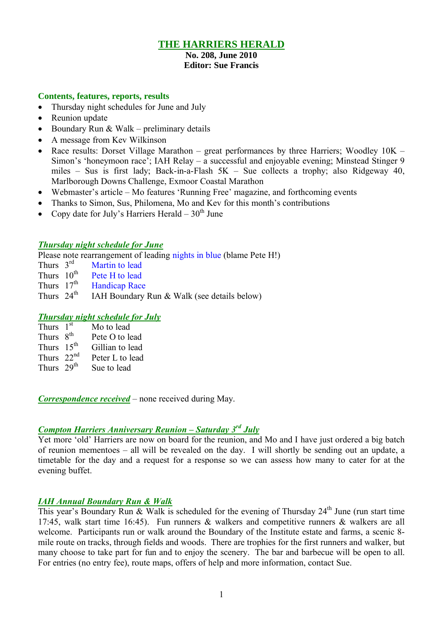## **THE HARRIERS HERALD**

# **No. 208, June 2010**

## **Editor: Sue Francis**

#### **Contents, features, reports, results**

- Thursday night schedules for June and July
- Reunion update
- Boundary Run & Walk preliminary details
- A message from Key Wilkinson
- Race results: Dorset Village Marathon great performances by three Harriers; Woodley 10K Simon's 'honeymoon race'; IAH Relay – a successful and enjoyable evening; Minstead Stinger 9 miles – Sus is first lady; Back-in-a-Flash 5K – Sue collects a trophy; also Ridgeway 40, Marlborough Downs Challenge, Exmoor Coastal Marathon
- Webmaster's article Mo features 'Running Free' magazine, and forthcoming events
- Thanks to Simon, Sus, Philomena, Mo and Kev for this month's contributions
- Copy date for July's Harriers Herald  $30<sup>th</sup>$  June

#### *Thursday night schedule for June*

Please note rearrangement of leading nights in blue (blame Pete H!)

- Thurs  $3<sup>rd</sup>$ <br>Thurs  $10<sup>th</sup>$ Martin to lead
- Thurs  $10^{th}$  Pete H to lead<br>Thurs  $17^{th}$  Handicap Race
- Thurs  $17<sup>th</sup>$  Handicap Race<br>Thurs  $24<sup>th</sup>$  IAH Boundary
- IAH Boundary Run  $&$  Walk (see details below)

### *Thursday night schedule for July*

| Thurs $1st$            | Mo to lead      |
|------------------------|-----------------|
| Thurs 8 <sup>th</sup>  | Pete O to lead  |
| Thurs 15 <sup>th</sup> | Gillian to lead |
| Thurs $22nd$           | Peter L to lead |
| Thurs 29 <sup>th</sup> | Sue to lead     |

*Correspondence received* – none received during May.

### *Compton Harriers Anniversary Reunion – Saturday 3 rd July*

Yet more 'old' Harriers are now on board for the reunion, and Mo and I have just ordered a big batch of reunion mementoes – all will be revealed on the day. I will shortly be sending out an update, a timetable for the day and a request for a response so we can assess how many to cater for at the evening buffet.

### *IAH Annual Boundary Run & Walk*

This year's Boundary Run & Walk is scheduled for the evening of Thursday  $24<sup>th</sup>$  June (run start time 17:45, walk start time 16:45). Fun runners & walkers and competitive runners & walkers are all welcome. Participants run or walk around the Boundary of the Institute estate and farms, a scenic 8 mile route on tracks, through fields and woods. There are trophies for the first runners and walker, but many choose to take part for fun and to enjoy the scenery. The bar and barbecue will be open to all. For entries (no entry fee), route maps, offers of help and more information, contact Sue.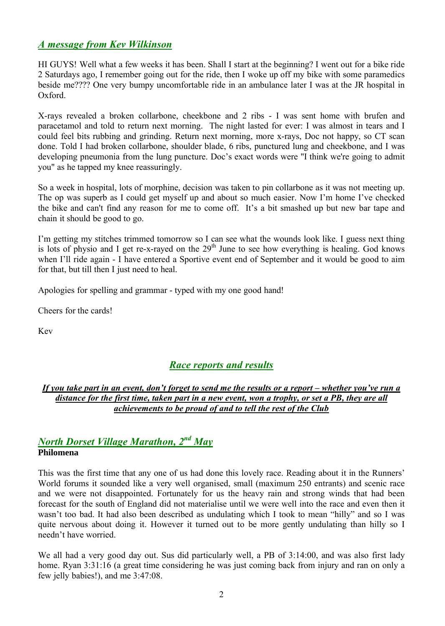## *A message from Kev Wilkinson*

HI GUYS! Well what a few weeks it has been. Shall I start at the beginning? I went out for a bike ride 2 Saturdays ago, I remember going out for the ride, then I woke up off my bike with some paramedics beside me???? One very bumpy uncomfortable ride in an ambulance later I was at the JR hospital in Oxford.

X-rays revealed a broken collarbone, cheekbone and 2 ribs - I was sent home with brufen and paracetamol and told to return next morning. The night lasted for ever: I was almost in tears and I could feel bits rubbing and grinding. Return next morning, more x-rays, Doc not happy, so CT scan done. Told I had broken collarbone, shoulder blade, 6 ribs, punctured lung and cheekbone, and I was developing pneumonia from the lung puncture. Doc's exact words were "I think we're going to admit you" as he tapped my knee reassuringly.

So a week in hospital, lots of morphine, decision was taken to pin collarbone as it was not meeting up. The op was superb as I could get myself up and about so much easier. Now I'm home I've checked the bike and can't find any reason for me to come off. It's a bit smashed up but new bar tape and chain it should be good to go.

I'm getting my stitches trimmed tomorrow so I can see what the wounds look like. I guess next thing is lots of physio and I get re-x-rayed on the  $29<sup>th</sup>$  June to see how everything is healing. God knows when I'll ride again - I have entered a Sportive event end of September and it would be good to aim for that, but till then I just need to heal.

Apologies for spelling and grammar - typed with my one good hand!

Cheers for the cards!

Kev

# *Race reports and results*

### *If you take part in an event, don't forget to send me the results or a report – whether you've run a distance for the first time, taken part in a new event, won a trophy, or set a PB, they are all achievements to be proud of and to tell the rest of the Club*

## *North Dorset Village Marathon, 2 nd May* **Philomena**

This was the first time that any one of us had done this lovely race. Reading about it in the Runners' World forums it sounded like a very well organised, small (maximum 250 entrants) and scenic race and we were not disappointed. Fortunately for us the heavy rain and strong winds that had been forecast for the south of England did not materialise until we were well into the race and even then it wasn't too bad. It had also been described as undulating which I took to mean "hilly" and so I was quite nervous about doing it. However it turned out to be more gently undulating than hilly so I needn't have worried.

We all had a very good day out. Sus did particularly well, a PB of 3:14:00, and was also first lady home. Ryan 3:31:16 (a great time considering he was just coming back from injury and ran on only a few jelly babies!), and me 3:47:08.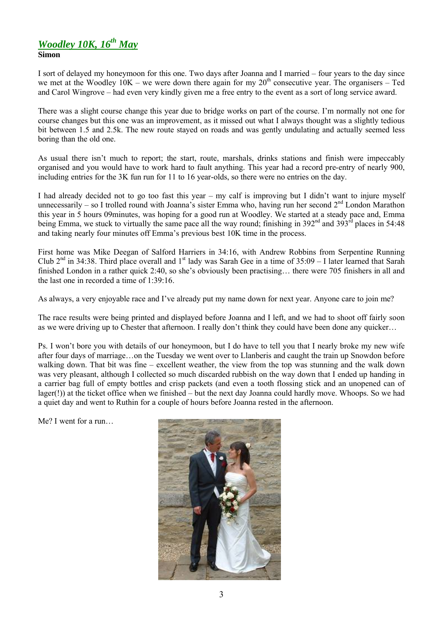# *Woodley 10K, 16th May*

#### **Simon**

I sort of delayed my honeymoon for this one. Two days after Joanna and I married – four years to the day since we met at the Woodley  $10K$  – we were down there again for my  $20<sup>th</sup>$  consecutive year. The organisers – Ted and Carol Wingrove – had even very kindly given me a free entry to the event as a sort of long service award.

There was a slight course change this year due to bridge works on part of the course. I'm normally not one for course changes but this one was an improvement, as it missed out what I always thought was a slightly tedious bit between 1.5 and 2.5k. The new route stayed on roads and was gently undulating and actually seemed less boring than the old one.

As usual there isn't much to report; the start, route, marshals, drinks stations and finish were impeccably organised and you would have to work hard to fault anything. This year had a record pre-entry of nearly 900, including entries for the 3K fun run for 11 to 16 year-olds, so there were no entries on the day.

I had already decided not to go too fast this year – my calf is improving but I didn't want to injure myself unnecessarily – so I trolled round with Joanna's sister Emma who, having run her second 2<sup>nd</sup> London Marathon this year in 5 hours 09minutes, was hoping for a good run at Woodley. We started at a steady pace and, Emma being Emma, we stuck to virtually the same pace all the way round; finishing in 392<sup>nd</sup> and 393<sup>rd</sup> places in 54:48 and taking nearly four minutes off Emma's previous best 10K time in the process.

First home was Mike Deegan of Salford Harriers in 34:16, with Andrew Robbins from Serpentine Running Club  $2^{nd}$  in 34:38. Third place overall and  $1^{st}$  lady was Sarah Gee in a time of 35:09 – I later learned that Sarah finished London in a rather quick 2:40, so she's obviously been practising… there were 705 finishers in all and the last one in recorded a time of 1:39:16.

As always, a very enjoyable race and I've already put my name down for next year. Anyone care to join me?

The race results were being printed and displayed before Joanna and I left, and we had to shoot off fairly soon as we were driving up to Chester that afternoon. I really don't think they could have been done any quicker…

Ps. I won't bore you with details of our honeymoon, but I do have to tell you that I nearly broke my new wife after four days of marriage…on the Tuesday we went over to Llanberis and caught the train up Snowdon before walking down. That bit was fine – excellent weather, the view from the top was stunning and the walk down was very pleasant, although I collected so much discarded rubbish on the way down that I ended up handing in a carrier bag full of empty bottles and crisp packets (and even a tooth flossing stick and an unopened can of lager(!)) at the ticket office when we finished – but the next day Joanna could hardly move. Whoops. So we had a quiet day and went to Ruthin for a couple of hours before Joanna rested in the afternoon.

Me? I went for a run…

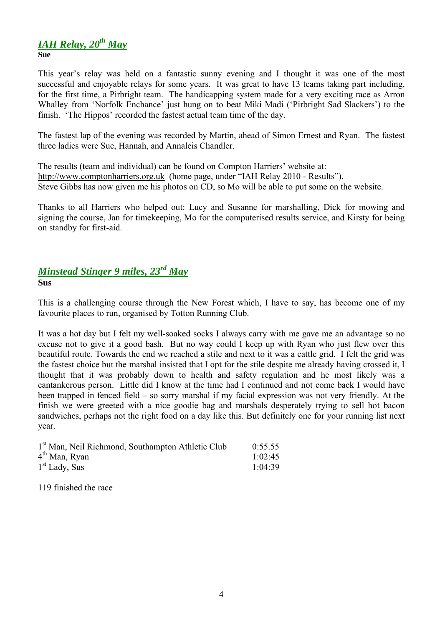# *IAH Relay, 20th May*

**Sue**

This year's relay was held on a fantastic sunny evening and I thought it was one of the most successful and enjoyable relays for some years. It was great to have 13 teams taking part including, for the first time, a Pirbright team. The handicapping system made for a very exciting race as Arron Whalley from 'Norfolk Enchance' just hung on to beat Miki Madi ('Pirbright Sad Slackers') to the finish. 'The Hippos' recorded the fastest actual team time of the day.

The fastest lap of the evening was recorded by Martin, ahead of Simon Ernest and Ryan. The fastest three ladies were Sue, Hannah, and Annaleis Chandler.

The results (team and individual) can be found on Compton Harriers' website at: http://www.comptonharriers.org.uk (home page, under "IAH Relay 2010 - Results"). Steve Gibbs has now given me his photos on CD, so Mo will be able to put some on the website.

Thanks to all Harriers who helped out: Lucy and Susanne for marshalling, Dick for mowing and signing the course, Jan for timekeeping, Mo for the computerised results service, and Kirsty for being on standby for first-aid.

# *Minstead Stinger 9 miles, 23rd May*

**Sus**

This is a challenging course through the New Forest which, I have to say, has become one of my favourite places to run, organised by Totton Running Club.

It was a hot day but I felt my well-soaked socks I always carry with me gave me an advantage so no excuse not to give it a good bash. But no way could I keep up with Ryan who just flew over this beautiful route. Towards the end we reached a stile and next to it was a cattle grid. I felt the grid was the fastest choice but the marshal insisted that I opt for the stile despite me already having crossed it, I thought that it was probably down to health and safety regulation and he most likely was a cantankerous person. Little did I know at the time had I continued and not come back I would have been trapped in fenced field – so sorry marshal if my facial expression was not very friendly. At the finish we were greeted with a nice goodie bag and marshals desperately trying to sell hot bacon sandwiches, perhaps not the right food on a day like this. But definitely one for your running list next year.

| 1 <sup>st</sup> Man, Neil Richmond, Southampton Athletic Club | 0:55.55 |
|---------------------------------------------------------------|---------|
| $4th$ Man, Ryan                                               | 1:02:45 |
| $1st$ Lady, Sus                                               | 1:04:39 |

119 finished the race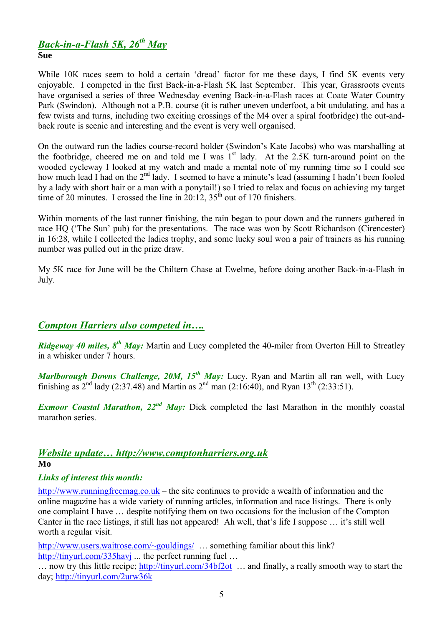# *Back-in-a-Flash 5K, 26 th May*

#### **Sue**

While 10K races seem to hold a certain 'dread' factor for me these days, I find 5K events very enjoyable. I competed in the first Back-in-a-Flash 5K last September. This year, Grassroots events have organised a series of three Wednesday evening Back-in-a-Flash races at Coate Water Country Park (Swindon). Although not a P.B. course (it is rather uneven underfoot, a bit undulating, and has a few twists and turns, including two exciting crossings of the M4 over a spiral footbridge) the out-andback route is scenic and interesting and the event is very well organised.

On the outward run the ladies course-record holder (Swindon's Kate Jacobs) who was marshalling at the footbridge, cheered me on and told me I was  $1<sup>st</sup>$  lady. At the 2.5K turn-around point on the wooded cycleway I looked at my watch and made a mental note of my running time so I could see how much lead I had on the 2<sup>nd</sup> lady. I seemed to have a minute's lead (assuming I hadn't been fooled by a lady with short hair or a man with a ponytail!) so I tried to relax and focus on achieving my target time of 20 minutes. I crossed the line in  $20:12$ ,  $35<sup>th</sup>$  out of 170 finishers.

Within moments of the last runner finishing, the rain began to pour down and the runners gathered in race HQ ('The Sun' pub) for the presentations. The race was won by Scott Richardson (Cirencester) in 16:28, while I collected the ladies trophy, and some lucky soul won a pair of trainers as his running number was pulled out in the prize draw.

My 5K race for June will be the Chiltern Chase at Ewelme, before doing another Back-in-a-Flash in July.

# *Compton Harriers also competed in….*

*Ridgeway 40 miles, 8<sup>th</sup> May:* Martin and Lucy completed the 40-miler from Overton Hill to Streatley in a whisker under 7 hours.

*Marlborough Downs Challenge, 20M, 15th May:* Lucy, Ryan and Martin all ran well, with Lucy finishing as  $2^{nd}$  lady (2:37.48) and Martin as  $2^{nd}$  man (2:16:40), and Ryan 13<sup>th</sup> (2:33:51).

*Exmoor Coastal Marathon, 22<sup>nd</sup> May:* Dick completed the last Marathon in the monthly coastal marathon series.

## *Website update… http://www.comptonharriers.org.uk*

## **Mo**

# *Links of interest this month:*

http://www.runningfreemag.co.uk – the site continues to provide a wealth of information and the online magazine has a wide variety of running articles, information and race listings. There is only one complaint I have … despite notifying them on two occasions for the inclusion of the Compton Canter in the race listings, it still has not appeared! Ah well, that's life I suppose … it's still well worth a regular visit.

http://www.users.waitrose.com/~gouldings/ ... something familiar about this link? http://tinyurl.com/335havj ... the perfect running fuel ...

… now try this little recipe; http://tinyurl.com/34bf2ot … and finally, a really smooth way to start the day; http://tinyurl.com/2urw36k